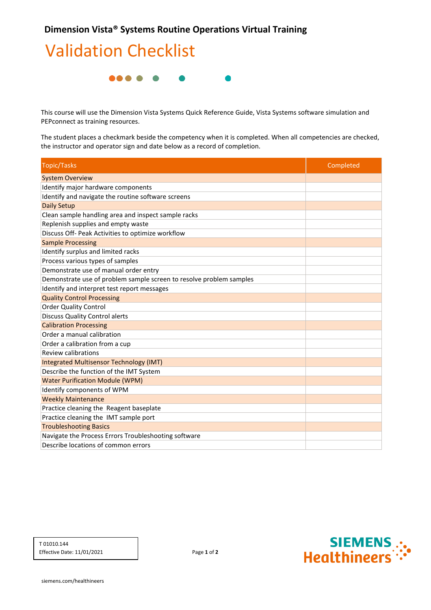## **Validation Checklist**



This course will use the Dimension Vista Systems Quick Reference Guide, Vista Systems software simulation and PEPconnect as training resources.

The student places a checkmark beside the competency when it is completed. When all competencies are checked, the instructor and operator sign and date below as a record of completion.

| <b>Topic/Tasks</b>                                                  | Completed |
|---------------------------------------------------------------------|-----------|
| <b>System Overview</b>                                              |           |
| Identify major hardware components                                  |           |
| Identify and navigate the routine software screens                  |           |
| <b>Daily Setup</b>                                                  |           |
| Clean sample handling area and inspect sample racks                 |           |
| Replenish supplies and empty waste                                  |           |
| Discuss Off- Peak Activities to optimize workflow                   |           |
| <b>Sample Processing</b>                                            |           |
| Identify surplus and limited racks                                  |           |
| Process various types of samples                                    |           |
| Demonstrate use of manual order entry                               |           |
| Demonstrate use of problem sample screen to resolve problem samples |           |
| Identify and interpret test report messages                         |           |
| <b>Quality Control Processing</b>                                   |           |
| <b>Order Quality Control</b>                                        |           |
| <b>Discuss Quality Control alerts</b>                               |           |
| <b>Calibration Processing</b>                                       |           |
| Order a manual calibration                                          |           |
| Order a calibration from a cup                                      |           |
| <b>Review calibrations</b>                                          |           |
| <b>Integrated Multisensor Technology (IMT)</b>                      |           |
| Describe the function of the IMT System                             |           |
| <b>Water Purification Module (WPM)</b>                              |           |
| Identify components of WPM                                          |           |
| <b>Weekly Maintenance</b>                                           |           |
| Practice cleaning the Reagent baseplate                             |           |
| Practice cleaning the IMT sample port                               |           |
| <b>Troubleshooting Basics</b>                                       |           |
| Navigate the Process Errors Troubleshooting software                |           |
| Describe locations of common errors                                 |           |